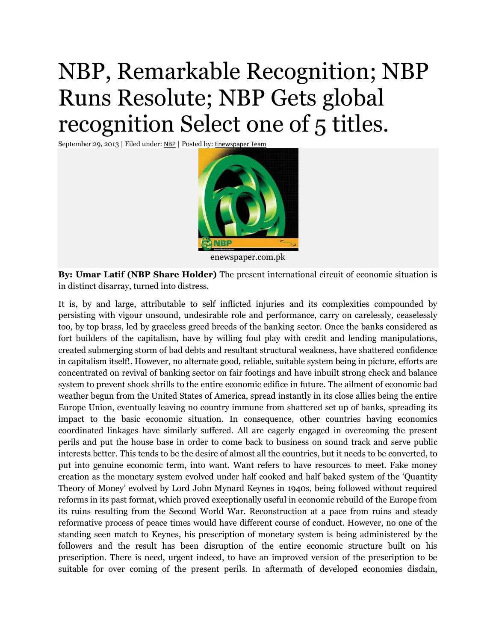## NBP, Remarkable Recognition; NBP Runs Resolute; NBP Gets global recognition Select one of 5 titles.

September 29, 2013 | Filed under: [NBP](http://enewspaper.com.pk/category/business/bank/nbp/) | Posted by: [Enewspaper Team](http://enewspaper.com.pk/author/admin/)



enewspaper.com.pk

**By: Umar Latif (NBP Share Holder)** The present international circuit of economic situation is in distinct disarray, turned into distress.

It is, by and large, attributable to self inflicted injuries and its complexities compounded by persisting with vigour unsound, undesirable role and performance, carry on carelessly, ceaselessly too, by top brass, led by graceless greed breeds of the banking sector. Once the banks considered as fort builders of the capitalism, have by willing foul play with credit and lending manipulations, created submerging storm of bad debts and resultant structural weakness, have shattered confidence in capitalism itself!. However, no alternate good, reliable, suitable system being in picture, efforts are concentrated on revival of banking sector on fair footings and have inbuilt strong check and balance system to prevent shock shrills to the entire economic edifice in future. The ailment of economic bad weather begun from the United States of America, spread instantly in its close allies being the entire Europe Union, eventually leaving no country immune from shattered set up of banks, spreading its impact to the basic economic situation. In consequence, other countries having economics coordinated linkages have similarly suffered. All are eagerly engaged in overcoming the present perils and put the house base in order to come back to business on sound track and serve public interests better. This tends to be the desire of almost all the countries, but it needs to be converted, to put into genuine economic term, into want. Want refers to have resources to meet. Fake money creation as the monetary system evolved under half cooked and half baked system of the 'Quantity Theory of Money' evolved by Lord John Mynard Keynes in 1940s, being followed without required reforms in its past format, which proved exceptionally useful in economic rebuild of the Europe from its ruins resulting from the Second World War. Reconstruction at a pace from ruins and steady reformative process of peace times would have different course of conduct. However, no one of the standing seen match to Keynes, his prescription of monetary system is being administered by the followers and the result has been disruption of the entire economic structure built on his prescription. There is need, urgent indeed, to have an improved version of the prescription to be suitable for over coming of the present perils. In aftermath of developed economies disdain,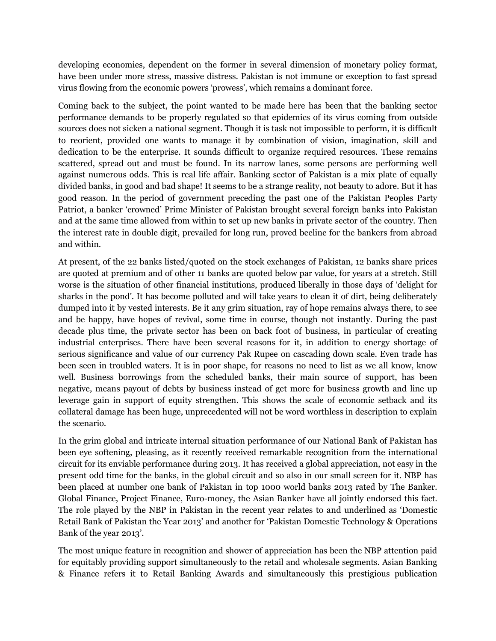developing economies, dependent on the former in several dimension of monetary policy format, have been under more stress, massive distress. Pakistan is not immune or exception to fast spread virus flowing from the economic powers 'prowess', which remains a dominant force.

Coming back to the subject, the point wanted to be made here has been that the banking sector performance demands to be properly regulated so that epidemics of its virus coming from outside sources does not sicken a national segment. Though it is task not impossible to perform, it is difficult to reorient, provided one wants to manage it by combination of vision, imagination, skill and dedication to be the enterprise. It sounds difficult to organize required resources. These remains scattered, spread out and must be found. In its narrow lanes, some persons are performing well against numerous odds. This is real life affair. Banking sector of Pakistan is a mix plate of equally divided banks, in good and bad shape! It seems to be a strange reality, not beauty to adore. But it has good reason. In the period of government preceding the past one of the Pakistan Peoples Party Patriot, a banker 'crowned' Prime Minister of Pakistan brought several foreign banks into Pakistan and at the same time allowed from within to set up new banks in private sector of the country. Then the interest rate in double digit, prevailed for long run, proved beeline for the bankers from abroad and within.

At present, of the 22 banks listed/quoted on the stock exchanges of Pakistan, 12 banks share prices are quoted at premium and of other 11 banks are quoted below par value, for years at a stretch. Still worse is the situation of other financial institutions, produced liberally in those days of 'delight for sharks in the pond'. It has become polluted and will take years to clean it of dirt, being deliberately dumped into it by vested interests. Be it any grim situation, ray of hope remains always there, to see and be happy, have hopes of revival, some time in course, though not instantly. During the past decade plus time, the private sector has been on back foot of business, in particular of creating industrial enterprises. There have been several reasons for it, in addition to energy shortage of serious significance and value of our currency Pak Rupee on cascading down scale. Even trade has been seen in troubled waters. It is in poor shape, for reasons no need to list as we all know, know well. Business borrowings from the scheduled banks, their main source of support, has been negative, means payout of debts by business instead of get more for business growth and line up leverage gain in support of equity strengthen. This shows the scale of economic setback and its collateral damage has been huge, unprecedented will not be word worthless in description to explain the scenario.

In the grim global and intricate internal situation performance of our National Bank of Pakistan has been eye softening, pleasing, as it recently received remarkable recognition from the international circuit for its enviable performance during 2013. It has received a global appreciation, not easy in the present odd time for the banks, in the global circuit and so also in our small screen for it. NBP has been placed at number one bank of Pakistan in top 1000 world banks 2013 rated by The Banker. Global Finance, Project Finance, Euro-money, the Asian Banker have all jointly endorsed this fact. The role played by the NBP in Pakistan in the recent year relates to and underlined as 'Domestic Retail Bank of Pakistan the Year 2013' and another for 'Pakistan Domestic Technology & Operations Bank of the year 2013'.

The most unique feature in recognition and shower of appreciation has been the NBP attention paid for equitably providing support simultaneously to the retail and wholesale segments. Asian Banking & Finance refers it to Retail Banking Awards and simultaneously this prestigious publication